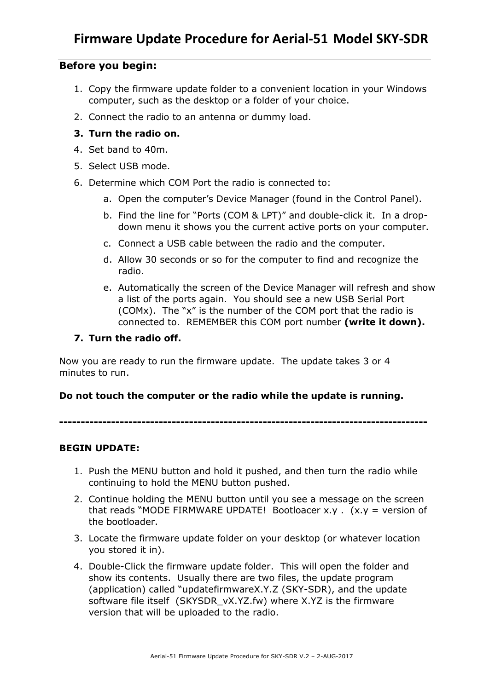## **Before you begin:**

- 1. Copy the firmware update folder to a convenient location in your Windows computer, such as the desktop or a folder of your choice.
- 2. Connect the radio to an antenna or dummy load.

## **3. Turn the radio on.**

- 4. Set band to 40m.
- 5. Select USB mode.
- 6. Determine which COM Port the radio is connected to:
	- a. Open the computer's Device Manager (found in the Control Panel).
	- b. Find the line for "Ports (COM & LPT)" and double-click it. In a dropdown menu it shows you the current active ports on your computer.
	- c. Connect a USB cable between the radio and the computer.
	- d. Allow 30 seconds or so for the computer to find and recognize the radio.
	- e. Automatically the screen of the Device Manager will refresh and show a list of the ports again. You should see a new USB Serial Port (COMx). The "x" is the number of the COM port that the radio is connected to. REMEMBER this COM port number **(write it down).**

#### **7. Turn the radio off.**

Now you are ready to run the firmware update. The update takes 3 or 4 minutes to run.

#### **Do not touch the computer or the radio while the update is running.**

**-------------------------------------------------------------------------------------**

## **BEGIN UPDATE:**

- 1. Push the MENU button and hold it pushed, and then turn the radio while continuing to hold the MENU button pushed.
- 2. Continue holding the MENU button until you see a message on the screen that reads "MODE FIRMWARE UPDATE! Bootloacer x.y .  $(x,y = version of$ the bootloader.
- 3. Locate the firmware update folder on your desktop (or whatever location you stored it in).
- 4. Double-Click the firmware update folder. This will open the folder and show its contents. Usually there are two files, the update program (application) called "updatefirmwareX.Y.Z (SKY-SDR), and the update software file itself (SKYSDR vX.YZ.fw) where X.YZ is the firmware version that will be uploaded to the radio.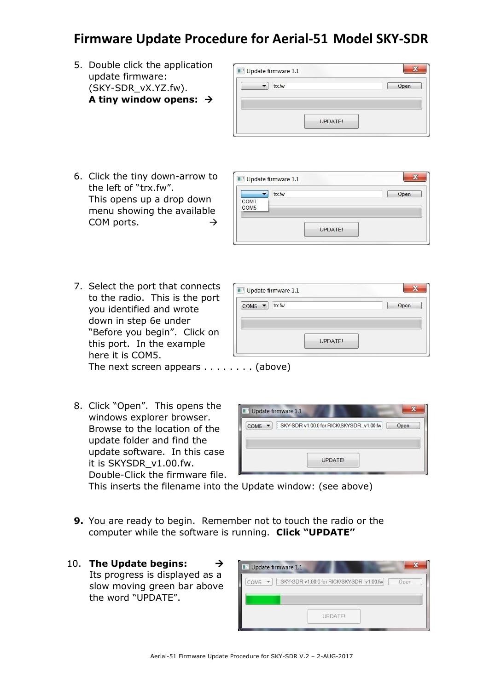# **Firmware Update Procedure for Aerial-51 Model SKY-SDR**

Update firmware 1.1  $\overline{\text{COM5}}$   $\rightarrow$  trx.fw

5. Double click the application update firmware: (SKY-SDR\_vX.YZ.fw). **A tiny window opens:**

| trx.fw |      |
|--------|------|
|        | Open |
|        |      |
|        |      |
|        |      |
|        |      |
|        |      |

6. Click the tiny down-arrow to the left of "trx.fw". This opens up a drop down menu showing the available COM ports.  $\rightarrow$ 

|                  | trx.fw |         | Open |
|------------------|--------|---------|------|
| COM1             |        |         |      |
| COM <sub>5</sub> |        |         |      |
|                  |        |         |      |
|                  |        |         |      |
|                  |        | UPDATE! |      |

 $\mathbf{X}$ 

Open

7. Select the port that connects to the radio. This is the port you identified and wrote down in step 6e under "Before you begin". Click on this port. In the example here it is COM5. The next screen appears  $\dots \dots$ . . . . . . (above)

| 8. Click "Open". This opens the |
|---------------------------------|
| windows explorer browser.       |
| Browse to the location of the   |
| update folder and find the      |
| update software. In this case   |
| it is SKYSDR_v1.00.fw.          |
| Double-Click the firmware file. |

|                  | Update firmware 1.1                                |
|------------------|----------------------------------------------------|
| COM <sub>5</sub> | : SKY-SDR v1.00.0 for RICK\SKYSDR_v1.00.fw<br>Open |
|                  |                                                    |
|                  | <b>UPDATE!</b>                                     |

UPDATE!

This inserts the filename into the Update window: (see above)

- **9.** You are ready to begin. Remember not to touch the radio or the computer while the software is running. **Click "UPDATE"**
- 10. **The Update begins:**  Its progress is displayed as a slow moving green bar above the word "UPDATE".

|      | Vpdate firmware 1.1                                              |  |
|------|------------------------------------------------------------------|--|
| COM5 | SKY-SDR v1.00.0 for RICK\SKYSDR_v1.00.fw<br>$\mathbf{v}$<br>Open |  |
|      |                                                                  |  |
|      |                                                                  |  |
|      | <b>UPDATE!</b>                                                   |  |
|      |                                                                  |  |

Aerial-51 Firmware Update Procedure for SKY-SDR V.2 – 2-AUG-2017